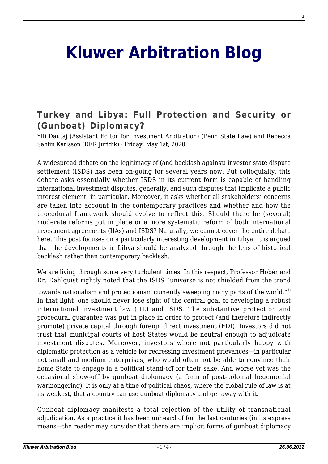# **[Kluwer Arbitration Blog](http://arbitrationblog.kluwerarbitration.com/)**

## **[Turkey and Libya: Full Protection and Security or](http://arbitrationblog.kluwerarbitration.com/2020/05/01/turkey-and-libya-full-protection-and-security-or-gunboat-diplomacy/) [\(Gunboat\) Diplomacy?](http://arbitrationblog.kluwerarbitration.com/2020/05/01/turkey-and-libya-full-protection-and-security-or-gunboat-diplomacy/)**

Ylli Dautaj (Assistant Editor for Investment Arbitration) (Penn State Law) and Rebecca Sahlin Karlsson (DER Juridik) · Friday, May 1st, 2020

A widespread debate on the legitimacy of (and backlash against) investor state dispute settlement (ISDS) has been on-going for several years now. Put colloquially, this debate asks essentially whether ISDS in its current form is capable of handling international investment disputes, generally, and such disputes that implicate a public interest element, in particular. Moreover, it asks whether all stakeholders' concerns are taken into account in the contemporary practices and whether and how the procedural framework should evolve to reflect this. Should there be (several) moderate reforms put in place or a more systematic reform of both international investment agreements (IIAs) and ISDS? Naturally, we cannot cover the entire debate here. This post focuses on a particularly interesting development in Libya. It is argued that the developments in Libya should be analyzed through the lens of historical backlash rather than contemporary backlash.

We are living through some very turbulent times. In this respect, Professor Hobér and Dr. Dahlquist rightly noted that the ISDS "universe is not shielded from the trend

towards nationalism and protectionism currently sweeping many parts of the world."<sup>1)</sup> In that light, one should never lose sight of the central goal of developing a robust international investment law (IIL) and ISDS. The substantive protection and procedural guarantee was put in place in order to protect (and therefore indirectly promote) private capital through foreign direct investment (FDI). Investors did not trust that municipal courts of host States would be neutral enough to adjudicate investment disputes. Moreover, investors where not particularly happy with diplomatic protection as a vehicle for redressing investment grievances—in particular not small and medium enterprises, who would often not be able to convince their home State to engage in a political stand-off for their sake. And worse yet was the occasional show-off by gunboat diplomacy (a form of post-colonial hegemonial warmongering). It is only at a time of political chaos, where the global rule of law is at its weakest, that a country can use gunboat diplomacy and get away with it.

Gunboat diplomacy manifests a total rejection of the utility of transnational adjudication. As a practice it has been unheard of for the last centuries (in its express means—the reader may consider that there are implicit forms of gunboat diplomacy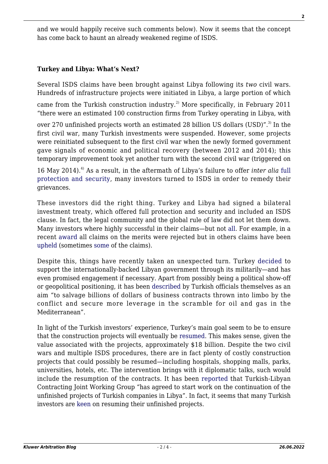and we would happily receive such comments below). Now it seems that the concept has come back to haunt an already weakened regime of ISDS.

### **Turkey and Libya: What's Next?**

Several ISDS claims have been brought against Libya following its *two* civil wars. Hundreds of infrastructure projects were initiated in Libya, a large portion of which

came from the Turkish construction industry.<sup>2)</sup> More specifically, in February 2011 "there were an estimated 100 construction firms from Turkey operating in Libya, with

over 270 unfinished projects worth an estimated 28 billion US dollars (USD)". $^{3}$  In the first civil war, many Turkish investments were suspended. However, some projects were reinitiated subsequent to the first civil war when the newly formed government gave signals of economic and political recovery (between 2012 and 2014); this temporary improvement took yet another turn with the second civil war (triggered on

16 May 2014).4) As a result, in the aftermath of Libya's failure to offer *inter alia* [full](http://www.kluwerarbitration.com/document/kli-ka-kinnear-2015-ch23?q=full%20protection%20and%20security) [protection and security](http://www.kluwerarbitration.com/document/kli-ka-kinnear-2015-ch23?q=full%20protection%20and%20security), many investors turned to ISDS in order to remedy their grievances.

These investors did the right thing. Turkey and Libya had signed a bilateral investment treaty, which offered full protection and security and included an ISDS clause. In fact, the legal community and the global rule of law did not let them down. Many investors where highly successful in their claims—but not [all](https://www.iareporter.com/articles/libya-wins-one-and-loses-one-as-new-bilateral-investment-treaty-awards-are-rendered/). For example, in a recent [award](https://investmentpolicy.unctad.org/investment-dispute-settlement/cases/780/tekfen-and-tml-v-libya) all claims on the merits were rejected but in others claims have been [upheld](https://investmentpolicy.unctad.org/investment-dispute-settlement/cases/774/etrak-v-libya) (sometimes [some](https://investmentpolicy.unctad.org/investment-dispute-settlement/cases/778/g-ri-v-libya) of the claims).

Despite this, things have recently taken an unexpected turn. Turkey [decided](https://www.nytimes.com/2020/01/05/world/europe/erdogan-turkish-troops-libya.html) to support the internationally-backed Libyan government through its militarily—and has even promised engagement if necessary. Apart from possibly being a political show-off or geopolitical positioning, it has been [described](https://www.bloomberg.com/news/articles/2019-07-08/in-battle-for-tripoli-turkey-has-billions-in-projects-at-stake.) by Turkish officials themselves as an aim "to salvage billions of dollars of business contracts thrown into limbo by the conflict and secure more leverage in the scramble for oil and gas in the Mediterranean".

In light of the Turkish investors' experience, Turkey's main goal seem to be to ensure that the construction projects will eventually be [resumed.](https://www.bloomberg.com/news/articles/2019-07-08/in-battle-for-tripoli-turkey-has-billions-in-projects-at-stake) This makes sense, given the value associated with the projects, approximately \$18 billion. Despite the two civil wars and multiple ISDS procedures, there are in fact plenty of costly construction projects that could possibly be resumed—including hospitals, shopping malls, parks, universities, hotels, etc. The intervention brings with it diplomatic talks, such would include the resumption of the contracts. It has been [reported](https://www.libyanexpress.com/libyan-turkish-group-to-resume-unfinished-projects-in-libya/) that Turkish-Libyan Contracting Joint Working Group "has agreed to start work on the continuation of the unfinished projects of Turkish companies in Libya". In fact, it seems that many Turkish investors are [keen](https://www.dailysabah.com/business/2019/12/24/turkish-contractors-want-to-return-to-libya-resume-projects-once-peace-restored) on resuming their unfinished projects.

**2**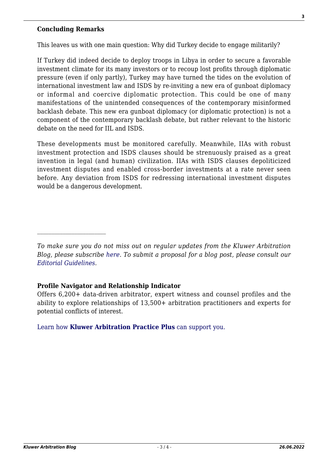#### **Concluding Remarks**

 $\mathcal{L}_\text{max}$ 

This leaves us with one main question: Why did Turkey decide to engage militarily?

If Turkey did indeed decide to deploy troops in Libya in order to secure a favorable investment climate for its many investors or to recoup lost profits through diplomatic pressure (even if only partly), Turkey may have turned the tides on the evolution of international investment law and ISDS by re-inviting a new era of gunboat diplomacy or informal and coercive diplomatic protection. This could be one of many manifestations of the unintended consequences of the contemporary misinformed backlash debate. This new era gunboat diplomacy (or diplomatic protection) is not a component of the contemporary backlash debate, but rather relevant to the historic debate on the need for IIL and ISDS.

These developments must be monitored carefully. Meanwhile, IIAs with robust investment protection and ISDS clauses should be strenuously praised as a great invention in legal (and human) civilization. IIAs with ISDS clauses depoliticized investment disputes and enabled cross-border investments at a rate never seen before. Any deviation from ISDS for redressing international investment disputes would be a dangerous development.

*To make sure you do not miss out on regular updates from the Kluwer Arbitration Blog, please subscribe [here](http://arbitrationblog.kluwerarbitration.com/newsletter/). To submit a proposal for a blog post, please consult our [Editorial Guidelines.](http://arbitrationblog.kluwerarbitration.com/editorial-guidelines/)*

#### **Profile Navigator and Relationship Indicator**

Offers 6,200+ data-driven arbitrator, expert witness and counsel profiles and the ability to explore relationships of 13,500+ arbitration practitioners and experts for potential conflicts of interest.

[Learn how](https://www.wolterskluwer.com/en/solutions/kluwerarbitration/practiceplus?utm_source=arbitrationblog&utm_medium=articleCTA&utm_campaign=article-banner) **[Kluwer Arbitration Practice Plus](https://www.wolterskluwer.com/en/solutions/kluwerarbitration/practiceplus?utm_source=arbitrationblog&utm_medium=articleCTA&utm_campaign=article-banner)** [can support you.](https://www.wolterskluwer.com/en/solutions/kluwerarbitration/practiceplus?utm_source=arbitrationblog&utm_medium=articleCTA&utm_campaign=article-banner)